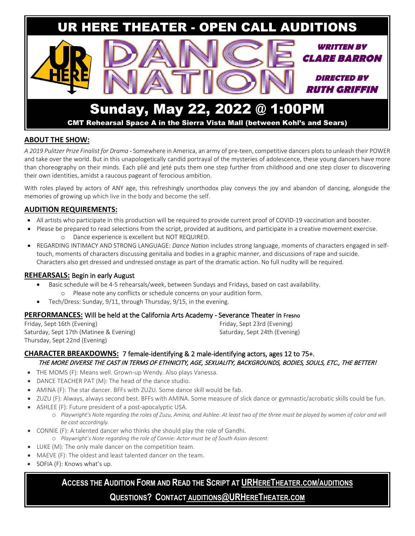

### **ABOUT THE SHOW:**

*A 2019 Pulitzer Prize Finalist for Drama* - Somewhere in America, an army of pre-teen, competitive dancers plots to unleash their POWER and take over the world. But in this unapologetically candid portrayal of the mysteries of adolescence, these young dancers have more than choreography on their minds. Each plié and jeté puts them one step further from childhood and one step closer to discovering their own identities, amidst a raucous pageant of ferocious ambition.

With roles played by actors of ANY age, this refreshingly unorthodox play conveys the joy and abandon of dancing, alongside the memories of growing up which live in the body and become the self.

### **AUDITION REQUIREMENTS:**

- All artists who participate in this production will be required to provide current proof of COVID-19 vaccination and booster.
- Please be prepared to read selections from the script, provided at auditions, and participate in a creative movement exercise. o Dance experience is excellent but NOT REQUIRED.
- REGARDING INTIMACY AND STRONG LANGUAGE: *Dance Nation* includes strong language, moments of characters engaged in selftouch, moments of characters discussing genitalia and bodies in a graphic manner, and discussions of rape and suicide. Characters also get dressed and undressed onstage as part of the dramatic action. No full nudity will be required.

#### **REHEARSALS:** Begin in early August

- Basic schedule will be 4-5 rehearsals/week, between Sundays and Fridays, based on cast availability.
	- o Please note any conflicts or schedule concerns on your audition form.
- Tech/Dress: Sunday, 9/11, through Thursday, 9/15, in the evening.

#### **PERFORMANCES:** Will be held at the California Arts Academy - Severance Theater in Fresno

Friday, Sept 16th (Evening) Saturday, Sept 17th (Matinee & Evening) Thursday, Sept 22nd (Evening)

Friday, Sept 23rd (Evening) Saturday, Sept 24th (Evening)

### **CHARACTER BREAKDOWNS:** 7 female-identifying & 2 male-identifying actors, ages 12 to 75+. THE MORE DIVERSE THE CAST IN TERMS OF ETHNICITY, AGE, SEXUALITY, BACKGROUNDS, BODIES, SOULS, ETC., THE BETTER!

- THE MOMS (F): Means well. Grown-up Wendy. Also plays Vanessa.
- DANCE TEACHER PAT (M): The head of the dance studio.
- AMINA (F): The star dancer. BFFs with ZUZU. Some dance skill would be fab.
- ZUZU (F): Always, always second best. BFFs with AMINA. Some measure of slick dance or gymnastic/acrobatic skills could be fun.
- ASHLEE (F): Future president of a post-apocalyptic USA.
	- o *Playwright's Note regarding the roles of Zuzu, Amina, and Ashlee: At least two of the three must be played by women of color and will be cast accordingly.*
- CONNIE (F): A talented dancer who thinks she should play the role of Gandhi.
	- o *Playwright's Note regarding the role of Connie: Actor must be of South Asian descent.*
- LUKE (M): The only male dancer on the competition team.
- MAEVE (F): The oldest and least talented dancer on the team.
- SOFIA (F): Knows what's up.

# **ACCESS THE AUDITION FORM AND READ THE SCRIPT AT [URHERETHEATER.COM/AUDITIONS](https://www.urheretheater.com/auditions)**

## **QUESTIONS? CONTACT [AUDITIONS@URHERETHEATER.COM](mailto:AUDITIONS@URHERETHEATER.COM)**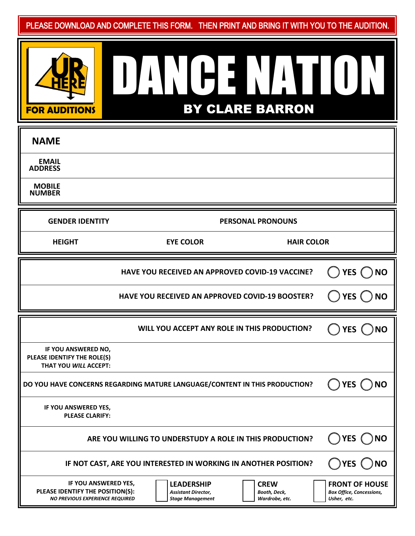PLEASE DOWNLOAD AND COMPLETE THIS FORM. THEN PRINT AND BRING IT WITH YOU TO THE AUDITION.

| <b>FOR AUDITIONS</b> |  |  |
|----------------------|--|--|

IL

# DANCE NATION BY CLARE BARRON

| <b>NAME</b>                                                                 |                                                                            |                            |  |  |  |  |
|-----------------------------------------------------------------------------|----------------------------------------------------------------------------|----------------------------|--|--|--|--|
| <b>EMAIL</b><br><b>ADDRESS</b>                                              |                                                                            |                            |  |  |  |  |
| <b>MOBILE</b><br><b>NUMBER</b>                                              |                                                                            |                            |  |  |  |  |
| <b>GENDER IDENTITY</b>                                                      | <b>PERSONAL PRONOUNS</b>                                                   |                            |  |  |  |  |
| <b>HEIGHT</b>                                                               | <b>EYE COLOR</b><br><b>HAIR COLOR</b>                                      |                            |  |  |  |  |
|                                                                             | HAVE YOU RECEIVED AN APPROVED COVID-19 VACCINE?                            | YES ( ) NO                 |  |  |  |  |
|                                                                             | <b>HAVE YOU RECEIVED AN APPROVED COVID-19 BOOSTER?</b>                     | $()$ YES $()$ NO           |  |  |  |  |
|                                                                             |                                                                            |                            |  |  |  |  |
|                                                                             |                                                                            |                            |  |  |  |  |
|                                                                             | WILL YOU ACCEPT ANY ROLE IN THIS PRODUCTION?                               | $\gamma$ YES ( $\gamma$ NO |  |  |  |  |
| IF YOU ANSWERED NO,<br>PLEASE IDENTIFY THE ROLE(S)<br>THAT YOU WILL ACCEPT: |                                                                            |                            |  |  |  |  |
|                                                                             | DO YOU HAVE CONCERNS REGARDING MATURE LANGUAGE/CONTENT IN THIS PRODUCTION? | ) YES ( _<br><b>NO</b>     |  |  |  |  |
| IF YOU ANSWERED YES,<br><b>PLEASE CLARIFY:</b>                              |                                                                            |                            |  |  |  |  |
|                                                                             | ARE YOU WILLING TO UNDERSTUDY A ROLE IN THIS PRODUCTION?                   | <b>YES</b><br><b>NO</b>    |  |  |  |  |
|                                                                             | IF NOT CAST, ARE YOU INTERESTED IN WORKING IN ANOTHER POSITION?            | )YES(<br><b>NO</b>         |  |  |  |  |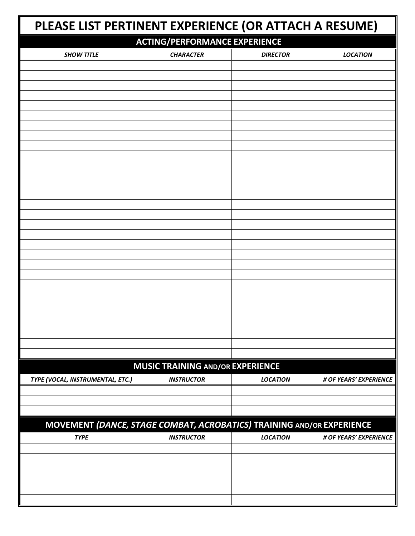| PLEASE LIST PERTINENT EXPERIENCE (OR ATTACH A RESUME)                 |                                         |                 |                        |  |  |  |
|-----------------------------------------------------------------------|-----------------------------------------|-----------------|------------------------|--|--|--|
|                                                                       | <b>ACTING/PERFORMANCE EXPERIENCE</b>    |                 |                        |  |  |  |
| <b>SHOW TITLE</b>                                                     | <b>CHARACTER</b>                        | <b>DIRECTOR</b> | <b>LOCATION</b>        |  |  |  |
|                                                                       |                                         |                 |                        |  |  |  |
|                                                                       |                                         |                 |                        |  |  |  |
|                                                                       |                                         |                 |                        |  |  |  |
|                                                                       |                                         |                 |                        |  |  |  |
|                                                                       |                                         |                 |                        |  |  |  |
|                                                                       |                                         |                 |                        |  |  |  |
|                                                                       |                                         |                 |                        |  |  |  |
|                                                                       |                                         |                 |                        |  |  |  |
|                                                                       |                                         |                 |                        |  |  |  |
|                                                                       |                                         |                 |                        |  |  |  |
|                                                                       |                                         |                 |                        |  |  |  |
|                                                                       |                                         |                 |                        |  |  |  |
|                                                                       |                                         |                 |                        |  |  |  |
|                                                                       |                                         |                 |                        |  |  |  |
|                                                                       |                                         |                 |                        |  |  |  |
|                                                                       |                                         |                 |                        |  |  |  |
|                                                                       |                                         |                 |                        |  |  |  |
|                                                                       |                                         |                 |                        |  |  |  |
|                                                                       |                                         |                 |                        |  |  |  |
|                                                                       |                                         |                 |                        |  |  |  |
|                                                                       |                                         |                 |                        |  |  |  |
|                                                                       |                                         |                 |                        |  |  |  |
|                                                                       |                                         |                 |                        |  |  |  |
|                                                                       |                                         |                 |                        |  |  |  |
|                                                                       |                                         |                 |                        |  |  |  |
|                                                                       | <b>MUSIC TRAINING AND/OR EXPERIENCE</b> |                 |                        |  |  |  |
| TYPE (VOCAL, INSTRUMENTAL, ETC.)                                      | <b>INSTRUCTOR</b>                       | <b>LOCATION</b> | # OF YEARS' EXPERIENCE |  |  |  |
|                                                                       |                                         |                 |                        |  |  |  |
|                                                                       |                                         |                 |                        |  |  |  |
|                                                                       |                                         |                 |                        |  |  |  |
| MOVEMENT (DANCE, STAGE COMBAT, ACROBATICS) TRAINING AND/OR EXPERIENCE |                                         |                 |                        |  |  |  |
| <b>TYPE</b>                                                           | <b>INSTRUCTOR</b>                       | <b>LOCATION</b> | # OF YEARS' EXPERIENCE |  |  |  |
|                                                                       |                                         |                 |                        |  |  |  |
|                                                                       |                                         |                 |                        |  |  |  |
|                                                                       |                                         |                 |                        |  |  |  |
|                                                                       |                                         |                 |                        |  |  |  |
|                                                                       |                                         |                 |                        |  |  |  |